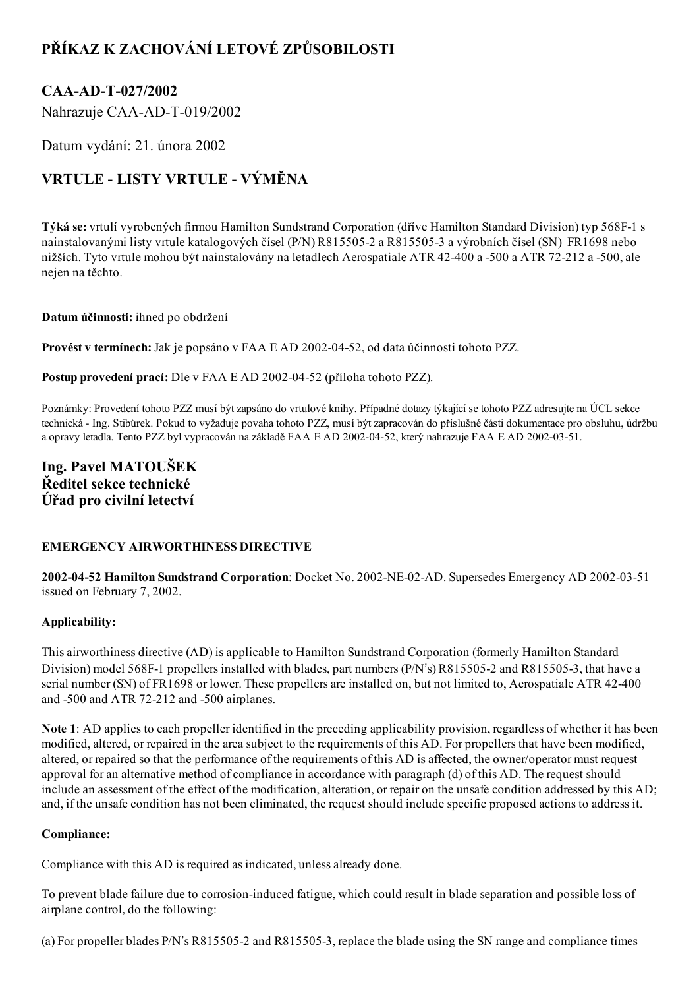## PŘÍKAZ K ZACHOVÁNÍ LETOVÉ ZPŮSOBILOSTI

## CAA-AD-T-027/2002

Nahrazuje CAA-AD-T-019/2002

Datum vydání: 21. února 2002

# VRTULE - LISTY VRTULE - VÝMĚNA

Týká se: vrtulí vyrobených firmou Hamilton Sundstrand Corporation (dříve Hamilton Standard Division) typ 568F1 s nainstalovanými listy vrtule katalogových čísel (P/N) R8155052 a R8155053 a výrobních čísel (SN) FR1698 nebo nižších. Tyto vrtule mohou být nainstalovány na letadlech Aerospatiale ATR 42-400 a -500 a ATR 72-212 a -500, ale nejen na těchto.

#### Datum účinnosti: ihned po obdržení

Provést v termínech: Jak je popsáno v FAA E AD 2002-04-52, od data účinnosti tohoto PZZ.

Postup provedení prací: Dle v FAA E AD 2002-04-52 (příloha tohoto PZZ).

Poznámky: Provedení tohoto PZZ musí být zapsáno do vrtulové knihy. Případné dotazy týkající se tohoto PZZ adresujte na ÚCL sekce technická Ing. Stibůrek. Pokud to vyžaduje povaha tohoto PZZ, musí být zapracován do příslušné části dokumentace pro obsluhu, údržbu a opravy letadla. Tento PZZ byl vypracován na základě FAA E AD 2002-04-52, který nahrazuje FAA E AD 2002-03-51.

### Ing. Pavel MATOUŠEK Ředitel sekce technické Úřad pro civilní letectví

### EMERGENCY AIRWORTHINESS DIRECTIVE

2002-04-52 Hamilton Sundstrand Corporation: Docket No. 2002-NE-02-AD. Supersedes Emergency AD 2002-03-51 issued on February 7, 2002.

#### Applicability:

This airworthiness directive (AD) is applicable to Hamilton Sundstrand Corporation (formerly Hamilton Standard Division) model 568F-1 propellers installed with blades, part numbers (P/N's) R815505-2 and R815505-3, that have a serial number (SN) of FR1698 or lower. These propellers are installed on, but not limited to, Aerospatiale ATR 42400 and  $-500$  and ATR 72 $-212$  and  $-500$  airplanes.

Note 1: AD applies to each propeller identified in the preceding applicability provision, regardless of whether it has been modified, altered, or repaired in the area subject to the requirements of this AD. For propellers that have been modified, altered, or repaired so that the performance of the requirements of this AD is affected, the owner/operator must request approval for an alternative method of compliance in accordance with paragraph (d) of this AD. The request should include an assessment of the effect of the modification, alteration, or repair on the unsafe condition addressed by this AD; and, if the unsafe condition has not been eliminated, the request should include specific proposed actions to address it.

#### Compliance:

Compliance with this AD is required as indicated, unless already done.

To prevent blade failure due to corrosion-induced fatigue, which could result in blade separation and possible loss of airplane control, do the following:

(a) For propeller blades P/N's R8155052 and R8155053, replace the blade using the SN range and compliance times